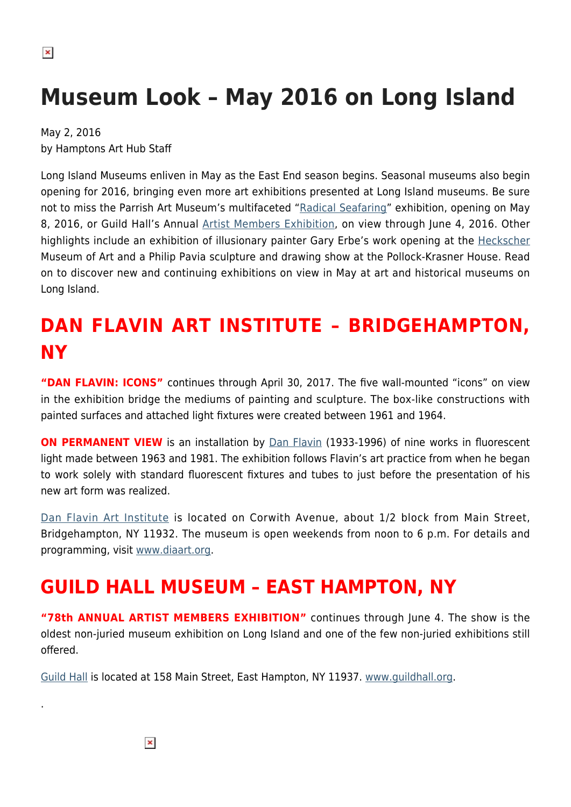# **Museum Look – May 2016 on Long Island**

May 2, 2016 by Hamptons Art Hub Staff

Long Island Museums enliven in May as the East End season begins. Seasonal museums also begin opening for 2016, bringing even more art exhibitions presented at Long Island museums. Be sure not to miss the Parrish Art Museum's multifaceted "[Radical Seafaring](http://parrishart.org/RadicalSeafaring)" exhibition, opening on May 8, 2016, or Guild Hall's Annual [Artist Members Exhibition](http://www.guildhall.org/museum-2/current-exhibitions/), on view through June 4, 2016. Other highlights include an exhibition of illusionary painter Gary Erbe's work opening at the [Heckscher](https://hamptonsarthub.com/museum-guide/heckscher-museum-of-art/) Museum of Art and a Philip Pavia sculpture and drawing show at the Pollock-Krasner House. Read on to discover new and continuing exhibitions on view in May at art and historical museums on Long Island.

# **DAN FLAVIN ART INSTITUTE – BRIDGEHAMPTON, NY**

**"DAN FLAVIN: ICONS"** continues through April 30, 2017. The five wall-mounted "icons" on view in the exhibition bridge the mediums of painting and sculpture. The box-like constructions with painted surfaces and attached light fixtures were created between 1961 and 1964.

**ON PERMANENT VIEW** is an installation by **[Dan Flavin](https://hamptonsarthub.com/museum-guide/dan-flavin-art-institute/)** (1933-1996) of nine works in fluorescent light made between 1963 and 1981. The exhibition follows Flavin's art practice from when he began to work solely with standard fluorescent fixtures and tubes to just before the presentation of his new art form was realized.

[Dan Flavin Art Institute](https://hamptonsarthub.com/museum-guide/dan-flavin-art-institute/) is located on Corwith Avenue, about 1/2 block from Main Street, Bridgehampton, NY 11932. The museum is open weekends from noon to 6 p.m. For details and programming, visit [www.diaart.org.](http://www.diaart.org)

### **GUILD HALL MUSEUM – EAST HAMPTON, NY**

**"78th ANNUAL ARTIST MEMBERS EXHIBITION"** continues through June 4. The show is the oldest non-juried museum exhibition on Long Island and one of the few non-juried exhibitions still offered.

[Guild Hall](https://hamptonsarthub.com/museum-guide/guild-hall/) is located at 158 Main Street, East Hampton, NY 11937. [www.guildhall.org](http://www.guildhall.org).

 $\pmb{\times}$ 

.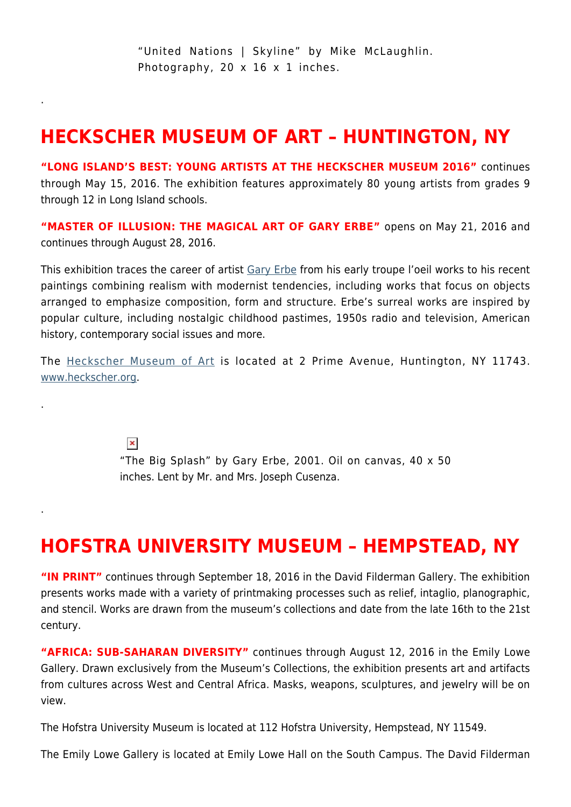"United Nations | Skyline" by Mike McLaughlin. Photography, 20 x 16 x 1 inches.

### **HECKSCHER MUSEUM OF ART – HUNTINGTON, NY**

.

.

.

**"LONG ISLAND'S BEST: YOUNG ARTISTS AT THE HECKSCHER MUSEUM 2016"** continues through May 15, 2016. The exhibition features approximately 80 young artists from grades 9 through 12 in Long Island schools.

**"MASTER OF ILLUSION: THE MAGICAL ART OF GARY ERBE"** opens on May 21, 2016 and continues through August 28, 2016.

This exhibition traces the career of artist [Gary Erbe](http://www.garyerbe.com/paintings.htm) from his early troupe l'oeil works to his recent paintings combining realism with modernist tendencies, including works that focus on objects arranged to emphasize composition, form and structure. Erbe's surreal works are inspired by popular culture, including nostalgic childhood pastimes, 1950s radio and television, American history, contemporary social issues and more.

The [Heckscher Museum of Art](https://hamptonsarthub.com/museum-guide/heckscher-museum-of-art/) is located at 2 Prime Avenue, Huntington, NY 11743. [www.heckscher.org](http://www.heckscher.org).

> $\pmb{\times}$ "The Big Splash" by Gary Erbe, 2001. Oil on canvas, 40 x 50 inches. Lent by Mr. and Mrs. Joseph Cusenza.

### **HOFSTRA UNIVERSITY MUSEUM – HEMPSTEAD, NY**

**"IN PRINT"** continues through September 18, 2016 in the David Filderman Gallery. The exhibition presents works made with a variety of printmaking processes such as relief, intaglio, planographic, and stencil. Works are drawn from the museum's collections and date from the late 16th to the 21st century.

**"AFRICA: SUB-SAHARAN DIVERSITY"** continues through August 12, 2016 in the Emily Lowe Gallery. Drawn exclusively from the Museum's Collections, the exhibition presents art and artifacts from cultures across West and Central Africa. Masks, weapons, sculptures, and jewelry will be on view.

The Hofstra University Museum is located at 112 Hofstra University, Hempstead, NY 11549.

The Emily Lowe Gallery is located at Emily Lowe Hall on the South Campus. The David Filderman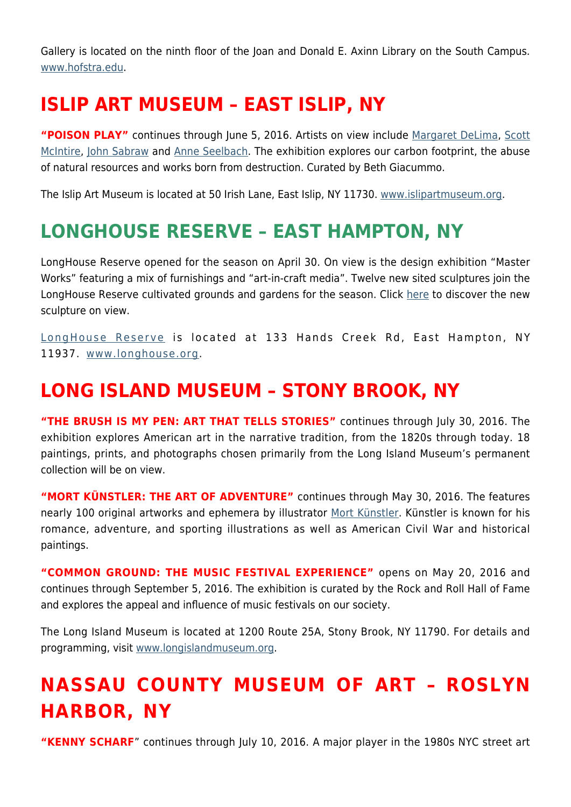Gallery is located on the ninth floor of the Joan and Donald E. Axinn Library on the South Campus. [www.hofstra.edu.](http://www.hofstra.edu)

### **ISLIP ART MUSEUM – EAST ISLIP, NY**

**"POISON PLAY"** continues through June 5, 2016. Artists on view include [Margaret DeLima](http://margaretdelima.com/home.html), [Scott](https://hamptonsarthub.com/2015/07/21/scott-mcintire-a-close-up-view-of-the-life-around-us/) [McIntire](https://hamptonsarthub.com/2015/07/21/scott-mcintire-a-close-up-view-of-the-life-around-us/), [John Sabraw](http://www.johnsabraw.com/) and [Anne Seelbach.](http://www.anneseelbach.com/) The exhibition explores our carbon footprint, the abuse of natural resources and works born from destruction. Curated by Beth Giacummo.

The Islip Art Museum is located at 50 Irish Lane, East Islip, NY 11730. [www.islipartmuseum.org.](http://www.islipartmuseum.org)

### **LONGHOUSE RESERVE – EAST HAMPTON, NY**

LongHouse Reserve opened for the season on April 30. On view is the design exhibition "Master Works" featuring a mix of furnishings and "art-in-craft media". Twelve new sited sculptures join the LongHouse Reserve cultivated grounds and gardens for the season. Click [here](https://hamptonsarthub.com/2016/04/27/exhibitions-new-sculptures-unveiled-for-longhouses-summer-season/) to discover the new sculpture on view.

[LongHouse Reserve](https://hamptonsarthub.com/museum-guide/longhouse-reserve/) is located at 133 Hands Creek Rd, East Hampton, NY 11937. [www.longhouse.org.](http://www.longhouse.org/)

### **LONG ISLAND MUSEUM – STONY BROOK, NY**

**"THE BRUSH IS MY PEN: ART THAT TELLS STORIES"** continues through July 30, 2016. The exhibition explores American art in the narrative tradition, from the 1820s through today. 18 paintings, prints, and photographs chosen primarily from the Long Island Museum's permanent collection will be on view.

**"MORT KÜNSTLER: THE ART OF ADVENTURE"** continues through May 30, 2016. The features nearly 100 original artworks and ephemera by illustrator [Mort Künstler.](http://www.mortkunstler.com/) Künstler is known for his romance, adventure, and sporting illustrations as well as American Civil War and historical paintings.

**"COMMON GROUND: THE MUSIC FESTIVAL EXPERIENCE"** opens on May 20, 2016 and continues through September 5, 2016. The exhibition is curated by the Rock and Roll Hall of Fame and explores the appeal and influence of music festivals on our society.

The Long Island Museum is located at 1200 Route 25A, Stony Brook, NY 11790. For details and programming, visit [www.longislandmuseum.org.](http://www.longislandmuseum.org)

# **NASSAU COUNTY MUSEUM OF ART – ROSLYN HARBOR, NY**

**"KENNY SCHARF**" continues through July 10, 2016. A major player in the 1980s NYC street art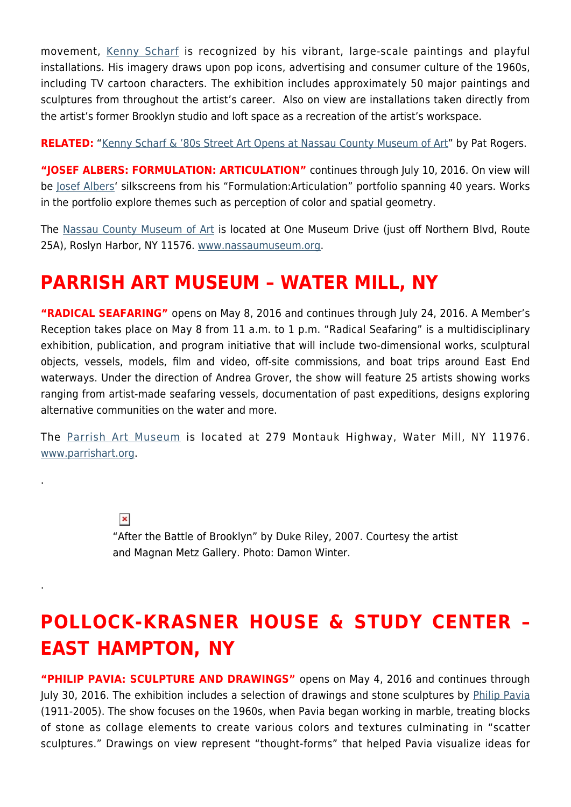movement, [Kenny Scharf](https://hamptonsarthub.com/2016/03/17/exhibitions-museums-kenny-scharf-80s-street-art-opens-at-nassau-county-museum-of-art/) is recognized by his vibrant, large-scale paintings and playful installations. His imagery draws upon pop icons, advertising and consumer culture of the 1960s, including TV cartoon characters. The exhibition includes approximately 50 major paintings and sculptures from throughout the artist's career. Also on view are installations taken directly from the artist's former Brooklyn studio and loft space as a recreation of the artist's workspace.

**RELATED:** ["Kenny Scharf & '80s Street Art Opens at Nassau County Museum of Art](https://hamptonsarthub.com/2016/03/17/exhibitions-museums-kenny-scharf-80s-street-art-opens-at-nassau-county-museum-of-art/)" by Pat Rogers.

"JOSEF ALBERS: FORMULATION: ARTICULATION" continues through July 10, 2016. On view will be [Josef Albers'](http://www.albersfoundation.org/) silkscreens from his "Formulation:Articulation" portfolio spanning 40 years. Works in the portfolio explore themes such as perception of color and spatial geometry.

The [Nassau County Museum of Art](https://hamptonsarthub.com/museum-guide/nassau-county-museum-of-art/) is located at One Museum Drive (just off Northern Blvd, Route 25A), Roslyn Harbor, NY 11576. [www.nassaumuseum.org](http://www.nassaumuseum.org).

### **PARRISH ART MUSEUM – WATER MILL, NY**

.

.

**"RADICAL SEAFARING"** opens on May 8, 2016 and continues through July 24, 2016. A Member's Reception takes place on May 8 from 11 a.m. to 1 p.m. "Radical Seafaring" is a multidisciplinary exhibition, publication, and program initiative that will include two-dimensional works, sculptural objects, vessels, models, film and video, off-site commissions, and boat trips around East End waterways. Under the direction of Andrea Grover, the show will feature 25 artists showing works ranging from artist-made seafaring vessels, documentation of past expeditions, designs exploring alternative communities on the water and more.

The [Parrish Art Museum](https://hamptonsarthub.com/museum-guide/the-parrish-art-museum/) is located at 279 Montauk Highway, Water Mill, NY 11976. [www.parrishart.org](http://www.parrishart.org).

> $\pmb{\times}$ "After the Battle of Brooklyn" by Duke Riley, 2007. Courtesy the artist and Magnan Metz Gallery. Photo: Damon Winter.

# **POLLOCK-KRASNER HOUSE & STUDY CENTER – EAST HAMPTON, NY**

**"PHILIP PAVIA: SCULPTURE AND DRAWINGS"** opens on May 4, 2016 and continues through July 30, 2016. The exhibition includes a selection of drawings and stone sculptures by [Philip Pavia](http://philippavia.com/) (1911-2005). The show focuses on the 1960s, when Pavia began working in marble, treating blocks of stone as collage elements to create various colors and textures culminating in "scatter sculptures." Drawings on view represent "thought-forms" that helped Pavia visualize ideas for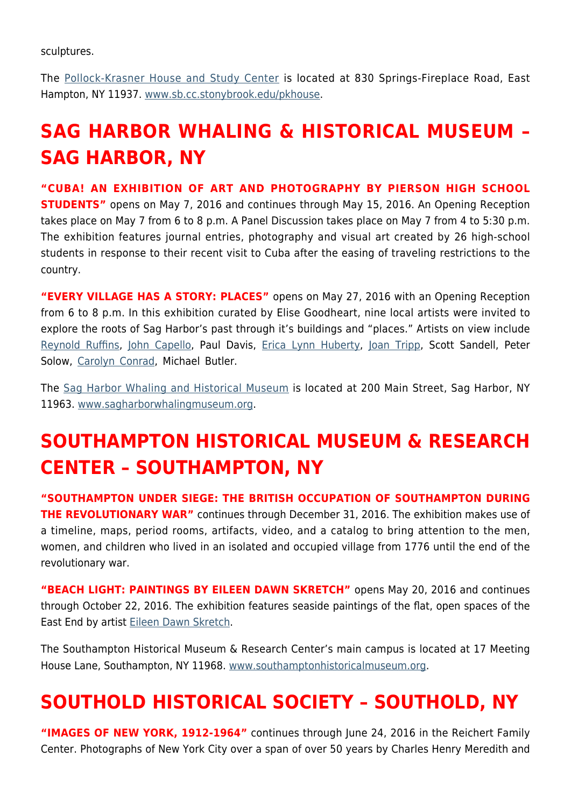sculptures.

The [Pollock-Krasner House and Study Center](https://hamptonsarthub.com/museum-guide/pollock-krasner-house-and-study-center/) is located at 830 Springs-Fireplace Road, East Hampton, NY 11937. [www.sb.cc.stonybrook.edu/pkhouse.](http://www.sb.cc.stonybrook.edu/pkhouse)

# **SAG HARBOR WHALING & HISTORICAL MUSEUM – SAG HARBOR, NY**

**"CUBA! AN EXHIBITION OF ART AND PHOTOGRAPHY BY PIERSON HIGH SCHOOL STUDENTS"** opens on May 7, 2016 and continues through May 15, 2016. An Opening Reception takes place on May 7 from 6 to 8 p.m. A Panel Discussion takes place on May 7 from 4 to 5:30 p.m. The exhibition features journal entries, photography and visual art created by 26 high-school students in response to their recent visit to Cuba after the easing of traveling restrictions to the country.

**"EVERY VILLAGE HAS A STORY: PLACES"** opens on May 27, 2016 with an Opening Reception from 6 to 8 p.m. In this exhibition curated by Elise Goodheart, nine local artists were invited to explore the roots of Sag Harbor's past through it's buildings and "places." Artists on view include [Reynold Ruffins](http://www.reynoldruffins.com/), [John Capello](http://www.johncappelloart.com/), Paul Davis, [Erica Lynn Huberty](http://www.ericalynnhuberty.com/), [Joan Tripp](http://joantripp.com), Scott Sandell, Peter Solow, [Carolyn Conrad](http://carolynconradart.com/carolyn_conrad/carolyn_conrad_artist.html), Michael Butler.

The [Sag Harbor Whaling and Historical Museum](https://hamptonsarthub.com/author/sag-harbor-whaling-museum/) is located at 200 Main Street, Sag Harbor, NY 11963. [www.sagharborwhalingmuseum.org](http://www.sagharborwhalingmuseum.org).

# **SOUTHAMPTON HISTORICAL MUSEUM & RESEARCH CENTER – SOUTHAMPTON, NY**

**"SOUTHAMPTON UNDER SIEGE: THE BRITISH OCCUPATION OF SOUTHAMPTON DURING THE REVOLUTIONARY WAR"** continues through December 31, 2016. The exhibition makes use of a timeline, maps, period rooms, artifacts, video, and a catalog to bring attention to the men, women, and children who lived in an isolated and occupied village from 1776 until the end of the revolutionary war.

**"BEACH LIGHT: PAINTINGS BY EILEEN DAWN SKRETCH"** opens May 20, 2016 and continues through October 22, 2016. The exhibition features seaside paintings of the flat, open spaces of the East End by artist [Eileen Dawn Skretch.](http://www.eileendawnskretch.com/)

The Southampton Historical Museum & Research Center's main campus is located at 17 Meeting House Lane, Southampton, NY 11968. [www.southamptonhistoricalmuseum.org](http://www.southamptonhistoricalmuseum.org).

### **SOUTHOLD HISTORICAL SOCIETY – SOUTHOLD, NY**

**"IMAGES OF NEW YORK, 1912-1964"** continues through June 24, 2016 in the Reichert Family Center. Photographs of New York City over a span of over 50 years by Charles Henry Meredith and